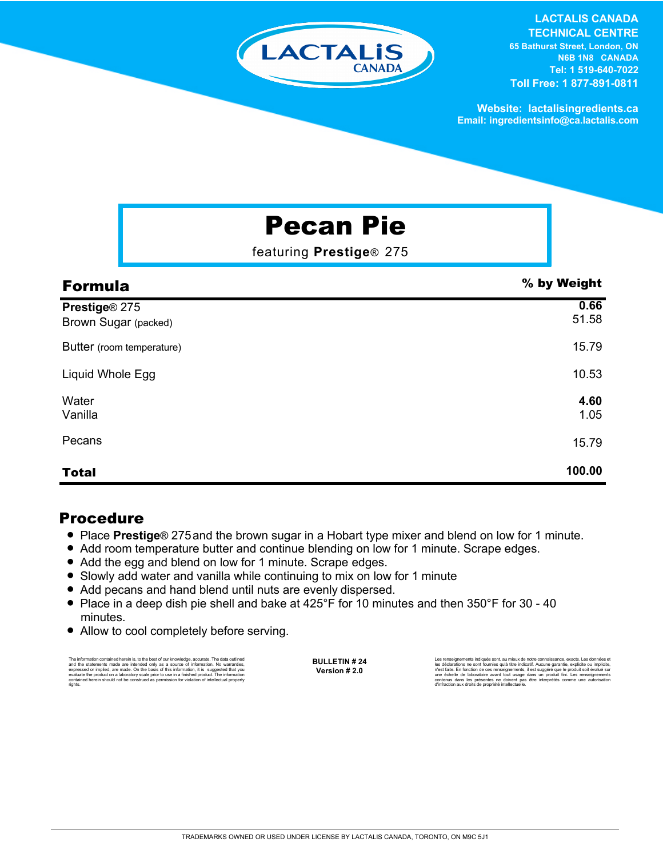

#### **LACTALIS CANADA TECHNICAL CENTRE 65 Bathurst Street, London, ON N6B 1N8 CANADA Tel: 1 519-640-7022 Toll Free: 1 877-891-0811**

**Website: lactalisingredients.ca Email: ingredientsinfo@ca.lactalis.com**

# Pecan Pie

featuring **Prestige**® 275

| <b>Formula</b>                        | % by Weight   |
|---------------------------------------|---------------|
| Prestige® 275<br>Brown Sugar (packed) | 0.66<br>51.58 |
| Butter (room temperature)             | 15.79         |
| Liquid Whole Egg                      | 10.53         |
| Water<br>Vanilla                      | 4.60<br>1.05  |
| Pecans                                | 15.79         |
| <b>Total</b>                          | 100.00        |

### Procedure

- = Place **Prestige**® 275and the brown sugar in a Hobart type mixer and blend on low for 1 minute.
- Add room temperature butter and continue blending on low for 1 minute. Scrape edges.
- Add the egg and blend on low for 1 minute. Scrape edges.
- Slowly add water and vanilla while continuing to mix on low for 1 minute
- Add pecans and hand blend until nuts are evenly dispersed.
- Place in a deep dish pie shell and bake at 425°F for 10 minutes and then 350°F for 30 40 minutes.
- Allow to cool completely before serving.

The information contained herein is, to the best of our knowledge, accurate. The data cutlined the statements made are intended only as a source of information. No warranties, expressed or implied, are made. On the basis o

**BULLETIN # 24 Version # 2.0**

Les renseignements indiqués sont, au mieux de notre connaissance, exacts. Les données et<br>les déclarations ne sont fournies qu'à titre indicatif. Aucune garantie, explicite ou implicite,<br>riest faite. En fonction de ces rens